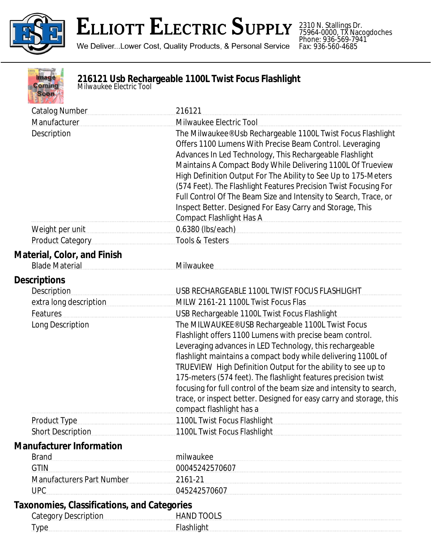

## **ELLIOTT ELECTRIC SUPPLY**

We Deliver...Lower Cost, Quality Products, & Personal Service

2310 N. Stallings Dr. 75964-0000, TX Nacogdoches Phone: 936-569-7941 Fax: 936-560-4685

| ma   |
|------|
|      |
| omin |
|      |
|      |
|      |
|      |

## **216121 Usb Rechargeable 1100L Twist Focus Flashlight** *Milwaukee Electric Tool*

| <b>Catalog Number</b>                                | 216121                                                                                                                                                                                                                                                                                                                                                                                                                                                                                                                                                 |
|------------------------------------------------------|--------------------------------------------------------------------------------------------------------------------------------------------------------------------------------------------------------------------------------------------------------------------------------------------------------------------------------------------------------------------------------------------------------------------------------------------------------------------------------------------------------------------------------------------------------|
| Manufacturer                                         | Milwaukee Electric Tool                                                                                                                                                                                                                                                                                                                                                                                                                                                                                                                                |
| Description                                          | The Milwaukee® Usb Rechargeable 1100L Twist Focus Flashlight<br>Offers 1100 Lumens With Precise Beam Control. Leveraging<br>Advances In Led Technology, This Rechargeable Flashlight<br>Maintains A Compact Body While Delivering 1100L Of Trueview<br>High Definition Output For The Ability to See Up to 175-Meters<br>(574 Feet). The Flashlight Features Precision Twist Focusing For<br>Full Control Of The Beam Size and Intensity to Search, Trace, or<br>Inspect Better. Designed For Easy Carry and Storage, This<br>Compact Flashlight Has A |
| Weight per unit                                      | 0.6380 (lbs/each)                                                                                                                                                                                                                                                                                                                                                                                                                                                                                                                                      |
| <b>Product Category</b>                              | Tools & Testers                                                                                                                                                                                                                                                                                                                                                                                                                                                                                                                                        |
| Material, Color, and Finish<br><b>Blade Material</b> | Milwaukee                                                                                                                                                                                                                                                                                                                                                                                                                                                                                                                                              |
| <b>Descriptions</b><br><b>Description</b>            | USB RECHARGEABLE 1100L TWIST FOCUS FLASHLIGHT                                                                                                                                                                                                                                                                                                                                                                                                                                                                                                          |
| extra long description                               | MILW 2161-21 1100L Twist Focus Flas                                                                                                                                                                                                                                                                                                                                                                                                                                                                                                                    |
| Features                                             | USB Rechargeable 1100L Twist Focus Flashlight                                                                                                                                                                                                                                                                                                                                                                                                                                                                                                          |
| Long Description                                     | The MILWAUKEE® USB Rechargeable 1100L Twist Focus<br>Flashlight offers 1100 Lumens with precise beam control.<br>Leveraging advances in LED Technology, this rechargeable<br>flashlight maintains a compact body while delivering 1100L of<br>TRUEVIEW High Definition Output for the ability to see up to<br>175-meters (574 feet). The flashlight features precision twist<br>focusing for full control of the beam size and intensity to search,<br>trace, or inspect better. Designed for easy carry and storage, this<br>compact flashlight has a |
| <b>Product Type</b>                                  | 1100L Twist Focus Flashlight 1100 Communications of the Material Street, and the Material Street, and                                                                                                                                                                                                                                                                                                                                                                                                                                                  |
| <b>Short Description</b>                             | 1100L Twist Focus Flashlight                                                                                                                                                                                                                                                                                                                                                                                                                                                                                                                           |
| <b>Manufacturer Information</b><br><b>Brand</b>      | milwaukee                                                                                                                                                                                                                                                                                                                                                                                                                                                                                                                                              |
| <b>GTIN</b>                                          |                                                                                                                                                                                                                                                                                                                                                                                                                                                                                                                                                        |
| <b>Manufacturers Part Number</b>                     | 2161-21                                                                                                                                                                                                                                                                                                                                                                                                                                                                                                                                                |
| <b>UPC</b>                                           | 045242570607                                                                                                                                                                                                                                                                                                                                                                                                                                                                                                                                           |
| Taxonomies, Classifications, and Categories          |                                                                                                                                                                                                                                                                                                                                                                                                                                                                                                                                                        |
| <b>Category Description</b>                          | <b>HAND TOOLS</b>                                                                                                                                                                                                                                                                                                                                                                                                                                                                                                                                      |
| Type                                                 | Flashlight                                                                                                                                                                                                                                                                                                                                                                                                                                                                                                                                             |